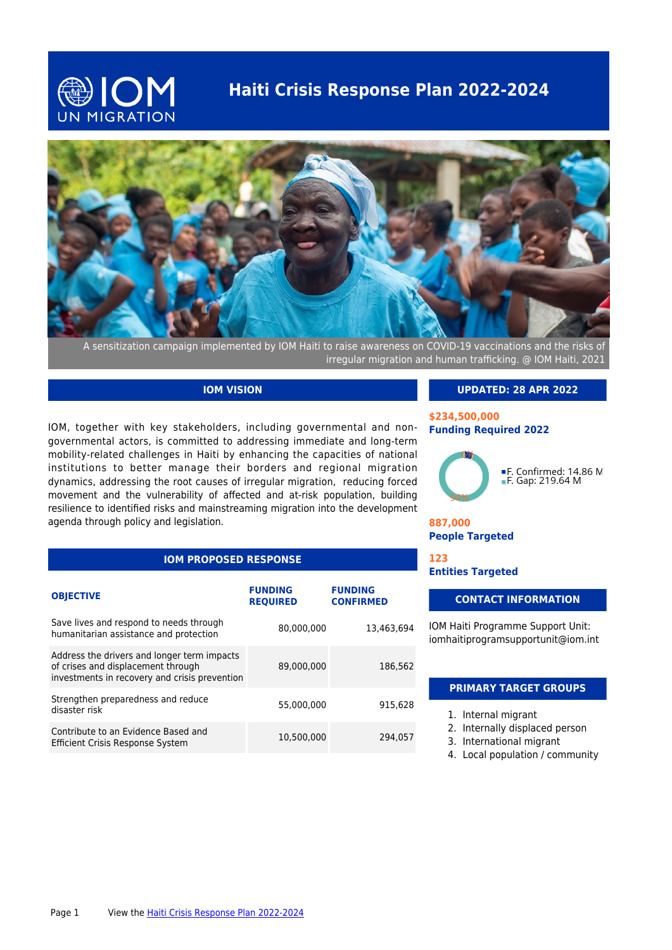## **Haiti Crisis Response Plan 2022-2024**





A sensitization campaign implemented by IOM Haiti to raise awareness on COVID-19 vaccinations and the risks of irregular migration and human trafficking. @ IOM Haiti, 2021

### **IOM VISION**

IOM, together with key stakeholders, including governmental and nongovernmental actors, is committed to addressing immediate and long-term mobility-related challenges in Haiti by enhancing the capacities of national institutions to better manage their borders and regional migration dynamics, addressing the root causes of irregular migration, reducing forced movement and the vulnerability of affected and at-risk population, building resilience to identified risks and mainstreaming migration into the development agenda through policy and legislation.

## **IOM PROPOSED RESPONSE**

| <b>OBJECTIVE</b>                                                                                                                   | <b>FUNDING</b><br><b>REQUIRED</b> | <b>FUNDING</b><br><b>CONFIRMED</b> |
|------------------------------------------------------------------------------------------------------------------------------------|-----------------------------------|------------------------------------|
| Save lives and respond to needs through<br>humanitarian assistance and protection                                                  | 80,000,000                        | 13.463.694                         |
| Address the drivers and longer term impacts<br>of crises and displacement through<br>investments in recovery and crisis prevention | 89,000,000                        | 186,562                            |
| Strengthen preparedness and reduce<br>disaster risk                                                                                | 55,000,000                        | 915.628                            |
| Contribute to an Evidence Based and<br><b>Efficient Crisis Response System</b>                                                     | 10.500.000                        | 294.057                            |

### **UPDATED: 28 APR 2022**

### **\$234,500,000 Funding Required 2022**



**887,000 People Targeted**

**123 Entities Targeted**

### **CONTACT INFORMATION**

IOM Haiti Programme Support Unit: iomhaitiprogramsupportunit@iom.int

### **PRIMARY TARGET GROUPS**

- 1. Internal migrant
- 2. Internally displaced person
- 3. International migrant
- 4. Local population / community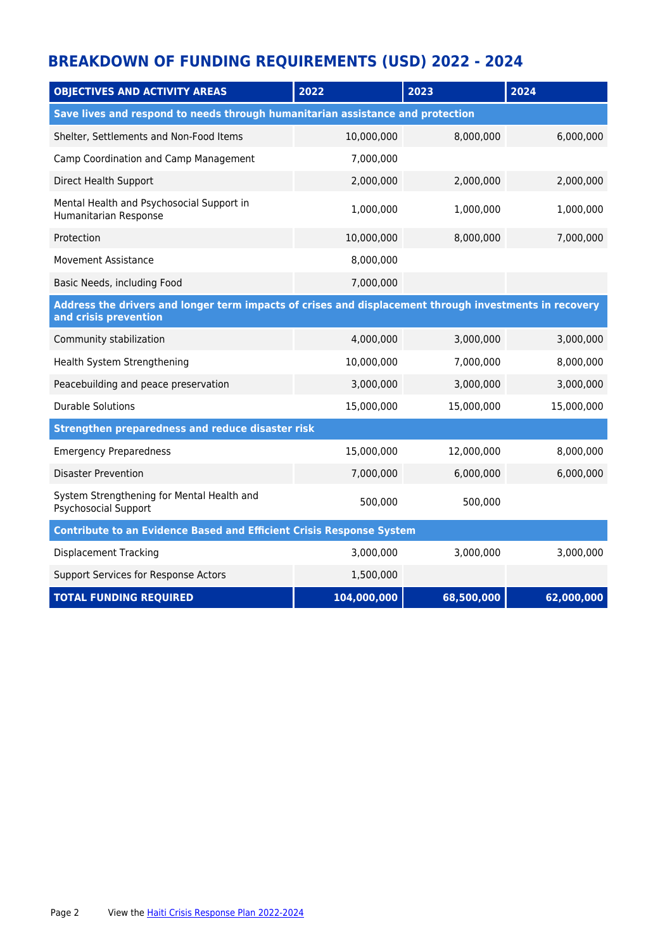# **BREAKDOWN OF FUNDING REQUIREMENTS (USD) 2022 - 2024**

| <b>OBJECTIVES AND ACTIVITY AREAS</b>                                                                                            | 2022        | 2023       | 2024       |  |  |  |
|---------------------------------------------------------------------------------------------------------------------------------|-------------|------------|------------|--|--|--|
| Save lives and respond to needs through humanitarian assistance and protection                                                  |             |            |            |  |  |  |
| Shelter, Settlements and Non-Food Items                                                                                         | 10,000,000  | 8,000,000  | 6,000,000  |  |  |  |
| Camp Coordination and Camp Management                                                                                           | 7,000,000   |            |            |  |  |  |
| Direct Health Support                                                                                                           | 2,000,000   | 2,000,000  | 2,000,000  |  |  |  |
| Mental Health and Psychosocial Support in<br>Humanitarian Response                                                              | 1,000,000   | 1,000,000  | 1,000,000  |  |  |  |
| Protection                                                                                                                      | 10,000,000  | 8,000,000  | 7,000,000  |  |  |  |
| <b>Movement Assistance</b>                                                                                                      | 8,000,000   |            |            |  |  |  |
| Basic Needs, including Food                                                                                                     | 7,000,000   |            |            |  |  |  |
| Address the drivers and longer term impacts of crises and displacement through investments in recovery<br>and crisis prevention |             |            |            |  |  |  |
| Community stabilization                                                                                                         | 4,000,000   | 3,000,000  | 3,000,000  |  |  |  |
| Health System Strengthening                                                                                                     | 10,000,000  | 7,000,000  | 8,000,000  |  |  |  |
| Peacebuilding and peace preservation                                                                                            | 3,000,000   | 3,000,000  | 3,000,000  |  |  |  |
| <b>Durable Solutions</b>                                                                                                        | 15,000,000  | 15,000,000 | 15,000,000 |  |  |  |
| Strengthen preparedness and reduce disaster risk                                                                                |             |            |            |  |  |  |
| <b>Emergency Preparedness</b>                                                                                                   | 15,000,000  | 12,000,000 | 8,000,000  |  |  |  |
| <b>Disaster Prevention</b>                                                                                                      | 7,000,000   | 6,000,000  | 6,000,000  |  |  |  |
| System Strengthening for Mental Health and<br>Psychosocial Support                                                              | 500,000     | 500,000    |            |  |  |  |
| <b>Contribute to an Evidence Based and Efficient Crisis Response System</b>                                                     |             |            |            |  |  |  |
| <b>Displacement Tracking</b>                                                                                                    | 3,000,000   | 3,000,000  | 3,000,000  |  |  |  |
| Support Services for Response Actors                                                                                            | 1,500,000   |            |            |  |  |  |
| <b>TOTAL FUNDING REQUIRED</b>                                                                                                   | 104,000,000 | 68,500,000 | 62,000,000 |  |  |  |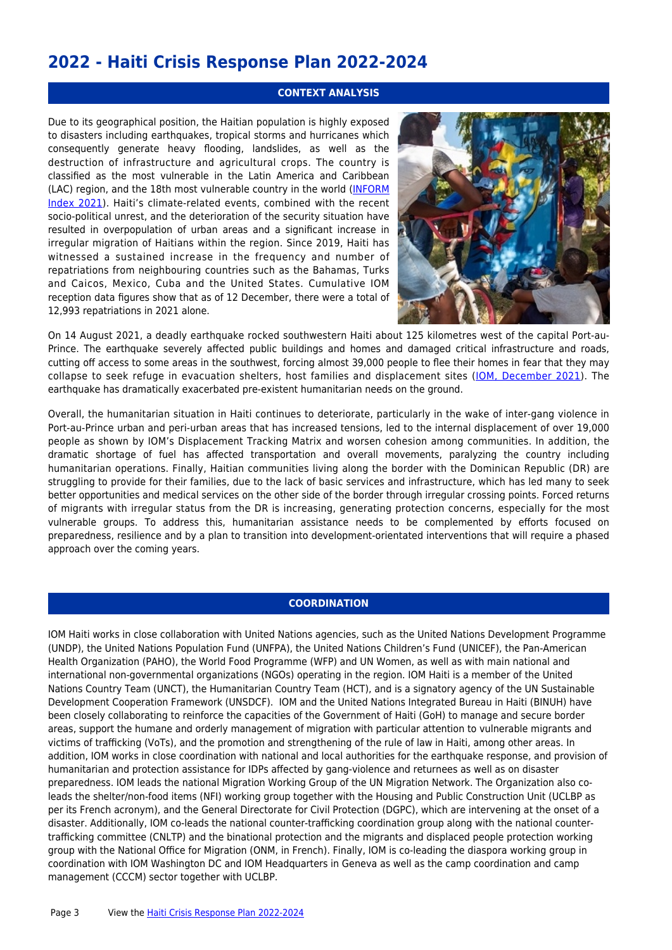## **2022 - Haiti Crisis Response Plan 2022-2024**

### **CONTEXT ANALYSIS**

Due to its geographical position, the Haitian population is highly exposed to disasters including earthquakes, tropical storms and hurricanes which consequently generate heavy flooding, landslides, as well as the destruction of infrastructure and agricultural crops. The country is classified as the most vulnerable in the Latin America and Caribbean (LAC) region, and the 18th most vulnerable country in the world ([INFORM](https://drmkc.jrc.ec.europa.eu/inform-index/INFORM-Risk/Country-Profile) [Index 2021\)](https://drmkc.jrc.ec.europa.eu/inform-index/INFORM-Risk/Country-Profile). Haiti's climate-related events, combined with the recent socio-political unrest, and the deterioration of the security situation have resulted in overpopulation of urban areas and a significant increase in irregular migration of Haitians within the region. Since 2019, Haiti has witnessed a sustained increase in the frequency and number of repatriations from neighbouring countries such as the Bahamas, Turks and Caicos, Mexico, Cuba and the United States. Cumulative IOM reception data figures show that as of 12 December, there were a total of 12,993 repatriations in 2021 alone.



On 14 August 2021, a deadly earthquake rocked southwestern Haiti about 125 kilometres west of the capital Port-au-Prince. The earthquake severely affected public buildings and homes and damaged critical infrastructure and roads, cutting off access to some areas in the southwest, forcing almost 39,000 people to flee their homes in fear that they may collapse to seek refuge in evacuation shelters, host families and displacement sites ([IOM, December 2021](https://reliefweb.int/sites/reliefweb.int/files/resources/earthquake_response_august_14_2021_-_factsheet_december_2021_en.pdf)). The earthquake has dramatically exacerbated pre-existent humanitarian needs on the ground.

Overall, the humanitarian situation in Haiti continues to deteriorate, particularly in the wake of inter-gang violence in Port-au-Prince urban and peri-urban areas that has increased tensions, led to the internal displacement of over 19,000 people as shown by IOM's Displacement Tracking Matrix and worsen cohesion among communities. In addition, the dramatic shortage of fuel has affected transportation and overall movements, paralyzing the country including humanitarian operations. Finally, Haitian communities living along the border with the Dominican Republic (DR) are struggling to provide for their families, due to the lack of basic services and infrastructure, which has led many to seek better opportunities and medical services on the other side of the border through irregular crossing points. Forced returns of migrants with irregular status from the DR is increasing, generating protection concerns, especially for the most vulnerable groups. To address this, humanitarian assistance needs to be complemented by efforts focused on preparedness, resilience and by a plan to transition into development-orientated interventions that will require a phased approach over the coming years.

### **COORDINATION**

IOM Haiti works in close collaboration with United Nations agencies, such as the United Nations Development Programme (UNDP), the United Nations Population Fund (UNFPA), the United Nations Children's Fund (UNICEF), the Pan-American Health Organization (PAHO), the World Food Programme (WFP) and UN Women, as well as with main national and international non-governmental organizations (NGOs) operating in the region. IOM Haiti is a member of the United Nations Country Team (UNCT), the Humanitarian Country Team (HCT), and is a signatory agency of the UN Sustainable Development Cooperation Framework (UNSDCF). IOM and the United Nations Integrated Bureau in Haiti (BINUH) have been closely collaborating to reinforce the capacities of the Government of Haiti (GoH) to manage and secure border areas, support the humane and orderly management of migration with particular attention to vulnerable migrants and victims of trafficking (VoTs), and the promotion and strengthening of the rule of law in Haiti, among other areas. In addition, IOM works in close coordination with national and local authorities for the earthquake response, and provision of humanitarian and protection assistance for IDPs affected by gang-violence and returnees as well as on disaster preparedness. IOM leads the national Migration Working Group of the UN Migration Network. The Organization also coleads the shelter/non-food items (NFI) working group together with the Housing and Public Construction Unit (UCLBP as per its French acronym), and the General Directorate for Civil Protection (DGPC), which are intervening at the onset of a disaster. Additionally, IOM co-leads the national counter-trafficking coordination group along with the national countertrafficking committee (CNLTP) and the binational protection and the migrants and displaced people protection working group with the National Office for Migration (ONM, in French). Finally, IOM is co-leading the diaspora working group in coordination with IOM Washington DC and IOM Headquarters in Geneva as well as the camp coordination and camp management (CCCM) sector together with UCLBP.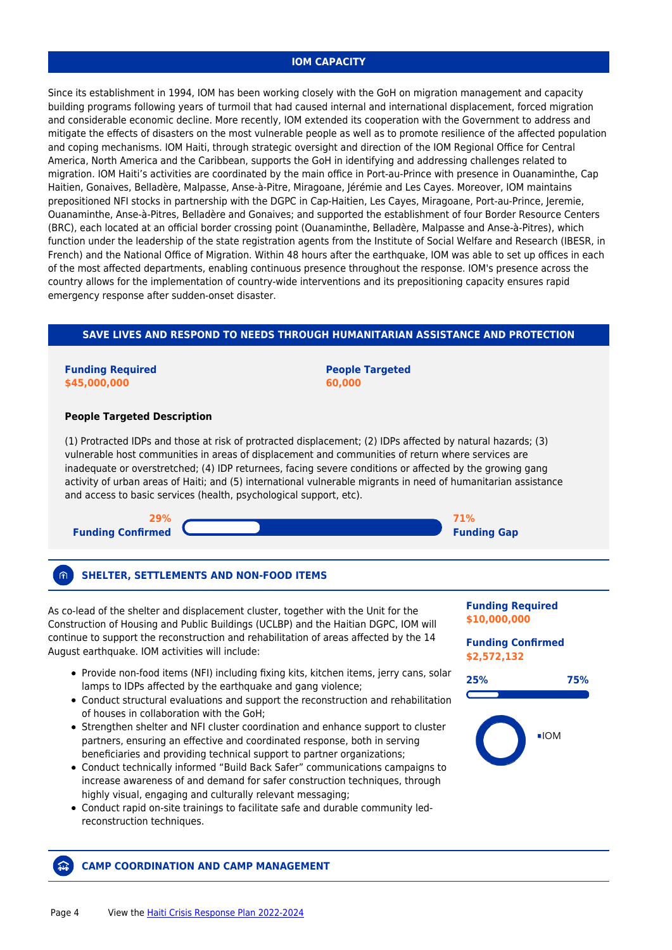### **IOM CAPACITY**

Since its establishment in 1994, IOM has been working closely with the GoH on migration management and capacity building programs following years of turmoil that had caused internal and international displacement, forced migration and considerable economic decline. More recently, IOM extended its cooperation with the Government to address and mitigate the effects of disasters on the most vulnerable people as well as to promote resilience of the affected population and coping mechanisms. IOM Haiti, through strategic oversight and direction of the IOM Regional Office for Central America, North America and the Caribbean, supports the GoH in identifying and addressing challenges related to migration. IOM Haiti's activities are coordinated by the main office in Port-au-Prince with presence in Ouanaminthe, Cap Haitien, Gonaives, Belladère, Malpasse, Anse-à-Pitre, Miragoane, Jérémie and Les Cayes. Moreover, IOM maintains prepositioned NFI stocks in partnership with the DGPC in Cap-Haitien, Les Cayes, Miragoane, Port-au-Prince, Jeremie, Ouanaminthe, Anse-à-Pitres, Belladère and Gonaives; and supported the establishment of four Border Resource Centers (BRC), each located at an official border crossing point (Ouanaminthe, Belladère, Malpasse and Anse-à-Pitres), which function under the leadership of the state registration agents from the Institute of Social Welfare and Research (IBESR, in French) and the National Office of Migration. Within 48 hours after the earthquake, IOM was able to set up offices in each of the most affected departments, enabling continuous presence throughout the response. IOM's presence across the country allows for the implementation of country-wide interventions and its prepositioning capacity ensures rapid emergency response after sudden-onset disaster.

### **SAVE LIVES AND RESPOND TO NEEDS THROUGH HUMANITARIAN ASSISTANCE AND PROTECTION**

### **Funding Required \$45,000,000**

**People Targeted 60,000**

### **People Targeted Description**

(1) Protracted IDPs and those at risk of protracted displacement; (2) IDPs affected by natural hazards; (3) vulnerable host communities in areas of displacement and communities of return where services are inadequate or overstretched; (4) IDP returnees, facing severe conditions or affected by the growing gang activity of urban areas of Haiti; and (5) international vulnerable migrants in need of humanitarian assistance and access to basic services (health, psychological support, etc).



#### 俞 **SHELTER, SETTLEMENTS AND NON-FOOD ITEMS**

As co-lead of the shelter and displacement cluster, together with the Unit for the Construction of Housing and Public Buildings (UCLBP) and the Haitian DGPC, IOM will continue to support the reconstruction and rehabilitation of areas affected by the 14 August earthquake. IOM activities will include:

- Provide non-food items (NFI) including fixing kits, kitchen items, jerry cans, solar lamps to IDPs affected by the earthquake and gang violence;
- Conduct structural evaluations and support the reconstruction and rehabilitation of houses in collaboration with the GoH;
- Strengthen shelter and NFI cluster coordination and enhance support to cluster partners, ensuring an effective and coordinated response, both in serving beneficiaries and providing technical support to partner organizations;
- Conduct technically informed "Build Back Safer" communications campaigns to increase awareness of and demand for safer construction techniques, through highly visual, engaging and culturally relevant messaging;
- Conduct rapid on-site trainings to facilitate safe and durable community ledreconstruction techniques.

### **Funding Required \$10,000,000**

### **Funding Confirmed \$2,572,132**





### **CAMP COORDINATION AND CAMP MANAGEMENT**

益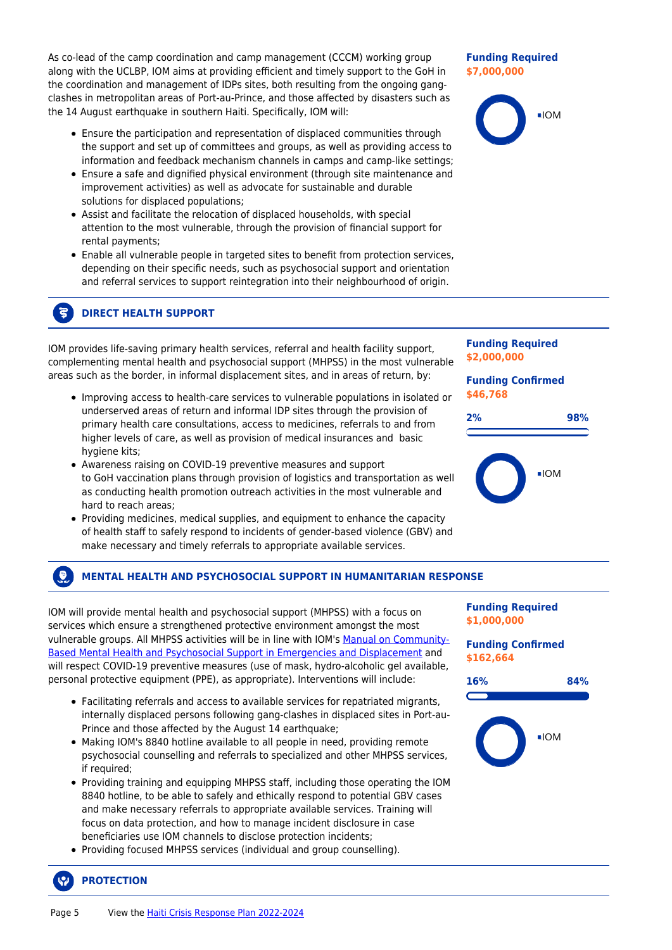As co-lead of the camp coordination and camp management (CCCM) working group along with the UCLBP, IOM aims at providing efficient and timely support to the GoH in the coordination and management of IDPs sites, both resulting from the ongoing gangclashes in metropolitan areas of Port-au-Prince, and those affected by disasters such as the 14 August earthquake in southern Haiti. Specifically, IOM will:

- Ensure the participation and representation of displaced communities through the support and set up of committees and groups, as well as providing access to information and feedback mechanism channels in camps and camp-like settings;
- Ensure a safe and dignified physical environment (through site maintenance and improvement activities) as well as advocate for sustainable and durable solutions for displaced populations;
- Assist and facilitate the relocation of displaced households, with special attention to the most vulnerable, through the provision of financial support for rental payments;
- Enable all vulnerable people in targeted sites to benefit from protection services, depending on their specific needs, such as psychosocial support and orientation and referral services to support reintegration into their neighbourhood of origin.

#### 3 **DIRECT HEALTH SUPPORT**

IOM provides life-saving primary health services, referral and health facility support, complementing mental health and psychosocial support (MHPSS) in the most vulnerable areas such as the border, in informal displacement sites, and in areas of return, by:

- Improving access to health-care services to vulnerable populations in isolated or underserved areas of return and informal IDP sites through the provision of primary health care consultations, access to medicines, referrals to and from higher levels of care, as well as provision of medical insurances and basic hygiene kits;
- Awareness raising on COVID-19 preventive measures and support to GoH vaccination plans through provision of logistics and transportation as well as conducting health promotion outreach activities in the most vulnerable and hard to reach areas;
- Providing medicines, medical supplies, and equipment to enhance the capacity of health staff to safely respond to incidents of gender-based violence (GBV) and make necessary and timely referrals to appropriate available services.

#### $\Omega$ **MENTAL HEALTH AND PSYCHOSOCIAL SUPPORT IN HUMANITARIAN RESPONSE**

IOM will provide mental health and psychosocial support (MHPSS) with a focus on services which ensure a strengthened protective environment amongst the most vulnerable groups. All MHPSS activities will be in line with IOM's [Manual on Community-](https://www.iom.int/sites/g/files/tmzbdl486/files/inline-files/Second%20Edition%20-%20Manual%20on%20CB%20MHPSS%20in%20Emergencies%20and%20Displacement.pdf)[Based Mental Health and Psychosocial Support in Emergencies and Displacement](https://www.iom.int/sites/g/files/tmzbdl486/files/inline-files/Second%20Edition%20-%20Manual%20on%20CB%20MHPSS%20in%20Emergencies%20and%20Displacement.pdf) and will respect COVID-19 preventive measures (use of mask, hydro-alcoholic gel available, personal protective equipment (PPE), as appropriate). Interventions will include:

- Facilitating referrals and access to available services for repatriated migrants, internally displaced persons following gang-clashes in displaced sites in Port-au-Prince and those affected by the August 14 earthquake;
- Making IOM's 8840 hotline available to all people in need, providing remote psychosocial counselling and referrals to specialized and other MHPSS services, if required;
- Providing training and equipping MHPSS staff, including those operating the IOM 8840 hotline, to be able to safely and ethically respond to potential GBV cases and make necessary referrals to appropriate available services. Training will focus on data protection, and how to manage incident disclosure in case beneficiaries use IOM channels to disclose protection incidents;
- Providing focused MHPSS services (individual and group counselling).

## **PROTECTION**



### **Funding Required \$7,000,000**



**Funding Required \$2,000,000**

**Funding Confirmed \$46,768**





**Funding Required \$1,000,000**

**Funding Confirmed \$162,664**

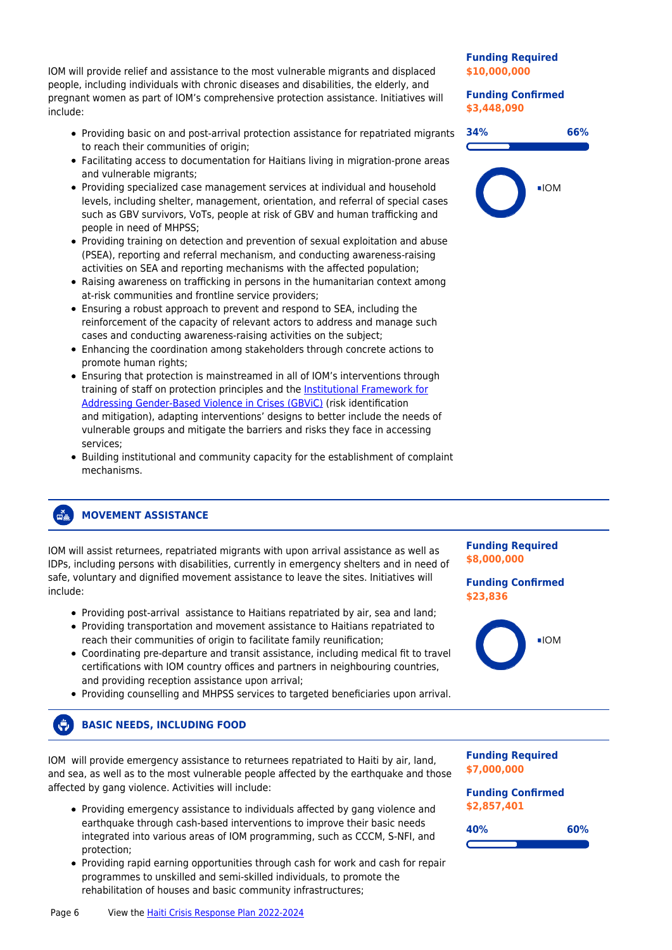IOM will provide relief and assistance to the most vulnerable migrants and displaced people, including individuals with chronic diseases and disabilities, the elderly, and pregnant women as part of IOM's comprehensive protection assistance. Initiatives will include:

- Providing basic on and post-arrival protection assistance for repatriated migrants to reach their communities of origin;
- Facilitating access to documentation for Haitians living in migration-prone areas and vulnerable migrants;
- Providing specialized case management services at individual and household levels, including shelter, management, orientation, and referral of special cases such as GBV survivors, VoTs, people at risk of GBV and human trafficking and people in need of MHPSS;
- Providing training on detection and prevention of sexual exploitation and abuse (PSEA), reporting and referral mechanism, and conducting awareness-raising activities on SEA and reporting mechanisms with the affected population;
- Raising awareness on trafficking in persons in the humanitarian context among at-risk communities and frontline service providers;
- Ensuring a robust approach to prevent and respond to SEA, including the reinforcement of the capacity of relevant actors to address and manage such cases and conducting awareness-raising activities on the subject;
- Enhancing the coordination among stakeholders through concrete actions to promote human rights;
- Ensuring that protection is mainstreamed in all of IOM's interventions through training of staff on protection principles and the [Institutional Framework for](https://publications.iom.int/system/files/pdf/iom_gbvic_framework.pdf) [Addressing Gender-Based Violence in Crises \(GBViC\)](https://publications.iom.int/system/files/pdf/iom_gbvic_framework.pdf) (risk identification and mitigation), adapting interventions' designs to better include the needs of vulnerable groups and mitigate the barriers and risks they face in accessing services;
- Building institutional and community capacity for the establishment of complaint mechanisms.

### **Funding Required \$10,000,000**

**Funding Confirmed \$3,448,090**



#### ื้≃้ **MOVEMENT ASSISTANCE**

IOM will assist returnees, repatriated migrants with upon arrival assistance as well as IDPs, including persons with disabilities, currently in emergency shelters and in need of safe, voluntary and dignified movement assistance to leave the sites. Initiatives will include:

- Providing post-arrival assistance to Haitians repatriated by air, sea and land;
- Providing transportation and movement assistance to Haitians repatriated to reach their communities of origin to facilitate family reunification;
- Coordinating pre-departure and transit assistance, including medical fit to travel certifications with IOM country offices and partners in neighbouring countries, and providing reception assistance upon arrival;
- Providing counselling and MHPSS services to targeted beneficiaries upon arrival.

#### $\left( \begin{matrix} 1 \\ 1 \end{matrix} \right)$ **BASIC NEEDS, INCLUDING FOOD**

IOM will provide emergency assistance to returnees repatriated to Haiti by air, land, and sea, as well as to the most vulnerable people affected by the earthquake and those affected by gang violence. Activities will include:

- Providing emergency assistance to individuals affected by gang violence and earthquake through cash-based interventions to improve their basic needs integrated into various areas of IOM programming, such as CCCM, S-NFI, and protection;
- Providing rapid earning opportunities through cash for work and cash for repair programmes to unskilled and semi-skilled individuals, to promote the rehabilitation of houses and basic community infrastructures;

### **Funding Required \$8,000,000**

### **Funding Confirmed \$23,836**



**Funding Required \$7,000,000**

**Funding Confirmed \$2,857,401**

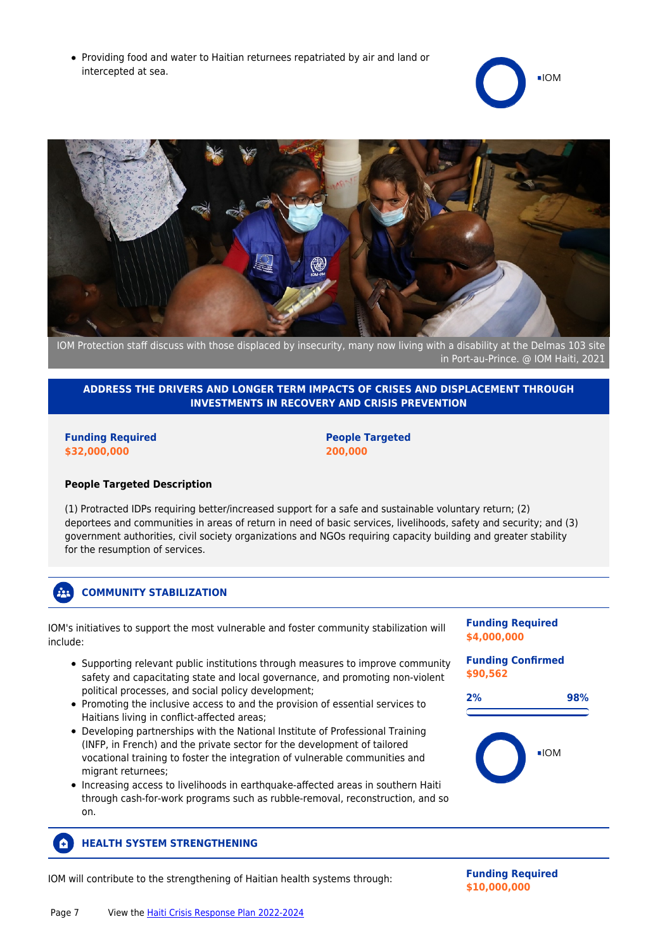• Providing food and water to Haitian returnees repatriated by air and land or intercepted at sea.





IOM Protection staff discuss with those displaced by insecurity, many now living with a disability at the Delmas 103 site in Port-au-Prince. @ IOM Haiti, 2021

### **ADDRESS THE DRIVERS AND LONGER TERM IMPACTS OF CRISES AND DISPLACEMENT THROUGH INVESTMENTS IN RECOVERY AND CRISIS PREVENTION**

**Funding Required \$32,000,000**

### **People Targeted 200,000**

### **People Targeted Description**

(1) Protracted IDPs requiring better/increased support for a safe and sustainable voluntary return; (2) deportees and communities in areas of return in need of basic services, livelihoods, safety and security; and (3) government authorities, civil society organizations and NGOs requiring capacity building and greater stability for the resumption of services.

#### $22<sup>2</sup>$ **COMMUNITY STABILIZATION**

IOM's initiatives to support the most vulnerable and foster community stabilization will include:

- Supporting relevant public institutions through measures to improve community safety and capacitating state and local governance, and promoting non-violent political processes, and social policy development;
- Promoting the inclusive access to and the provision of essential services to Haitians living in conflict-affected areas;
- Developing partnerships with the National Institute of Professional Training (INFP, in French) and the private sector for the development of tailored vocational training to foster the integration of vulnerable communities and migrant returnees;
- Increasing access to livelihoods in earthquake-affected areas in southern Haiti through cash-for-work programs such as rubble-removal, reconstruction, and so on.

#### **HEALTH SYSTEM STRENGTHENING** Ō.

IOM will contribute to the strengthening of Haitian health systems through: **Funding Required**

**Funding Required \$4,000,000**

**Funding Confirmed \$90,562**





**\$10,000,000**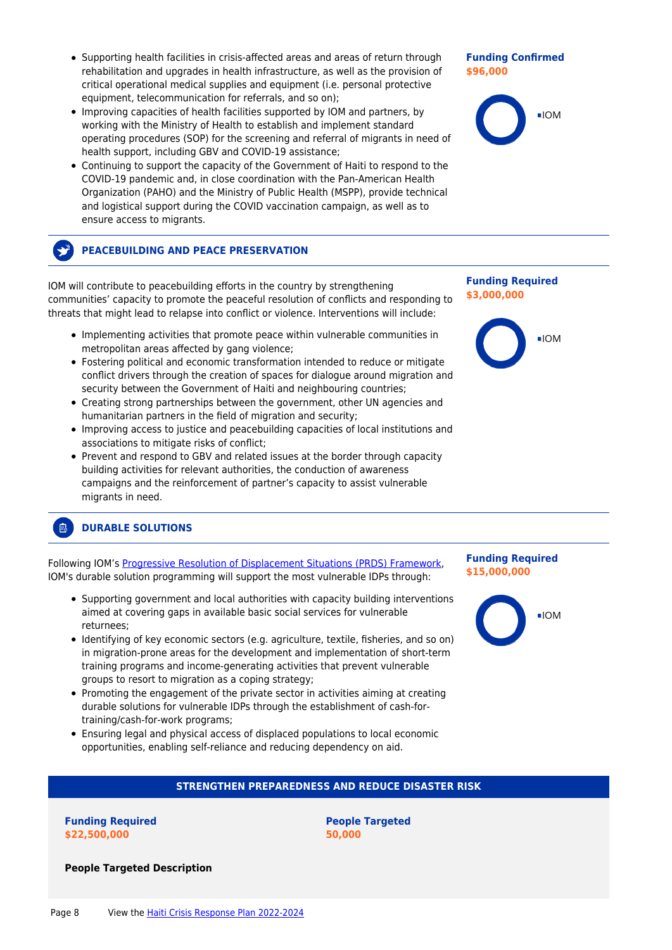- Supporting health facilities in crisis-affected areas and areas of return through rehabilitation and upgrades in health infrastructure, as well as the provision of critical operational medical supplies and equipment (i.e. personal protective equipment, telecommunication for referrals, and so on);
- Improving capacities of health facilities supported by IOM and partners, by working with the Ministry of Health to establish and implement standard operating procedures (SOP) for the screening and referral of migrants in need of health support, including GBV and COVID-19 assistance;
- Continuing to support the capacity of the Government of Haiti to respond to the COVID-19 pandemic and, in close coordination with the Pan-American Health Organization (PAHO) and the Ministry of Public Health (MSPP), provide technical and logistical support during the COVID vaccination campaign, as well as to ensure access to migrants.

## **PEACEBUILDING AND PEACE PRESERVATION**

IOM will contribute to peacebuilding efforts in the country by strengthening communities' capacity to promote the peaceful resolution of conflicts and responding to threats that might lead to relapse into conflict or violence. Interventions will include:

- Implementing activities that promote peace within vulnerable communities in metropolitan areas affected by gang violence;
- Fostering political and economic transformation intended to reduce or mitigate conflict drivers through the creation of spaces for dialogue around migration and security between the Government of Haiti and neighbouring countries;
- Creating strong partnerships between the government, other UN agencies and humanitarian partners in the field of migration and security;
- Improving access to justice and peacebuilding capacities of local institutions and associations to mitigate risks of conflict;
- Prevent and respond to GBV and related issues at the border through capacity building activities for relevant authorities, the conduction of awareness campaigns and the reinforcement of partner's capacity to assist vulnerable migrants in need.

#### 鳳 **DURABLE SOLUTIONS**

Following IOM's [Progressive Resolution of Displacement Situations \(PRDS\) Framework](https://www.iom.int/sites/g/files/tmzbdl486/files/our_work/DOE/humanitarian_emergencies/Progressive-Resolution-of-Displacement-Situations.pdf), IOM's durable solution programming will support the most vulnerable IDPs through:

- Supporting government and local authorities with capacity building interventions aimed at covering gaps in available basic social services for vulnerable returnees;
- Identifying of key economic sectors (e.g. agriculture, textile, fisheries, and so on) in migration-prone areas for the development and implementation of short-term training programs and income-generating activities that prevent vulnerable groups to resort to migration as a coping strategy;
- Promoting the engagement of the private sector in activities aiming at creating durable solutions for vulnerable IDPs through the establishment of cash-fortraining/cash-for-work programs;
- Ensuring legal and physical access of displaced populations to local economic opportunities, enabling self-reliance and reducing dependency on aid.

## **STRENGTHEN PREPAREDNESS AND REDUCE DISASTER RISK**

### **Funding Required \$22,500,000**

**People Targeted Description**

**People Targeted 50,000**

# **Funding Required**

**\$15,000,000**







**Funding Required**

**\$3,000,000**

**Funding Confirmed \$96,000**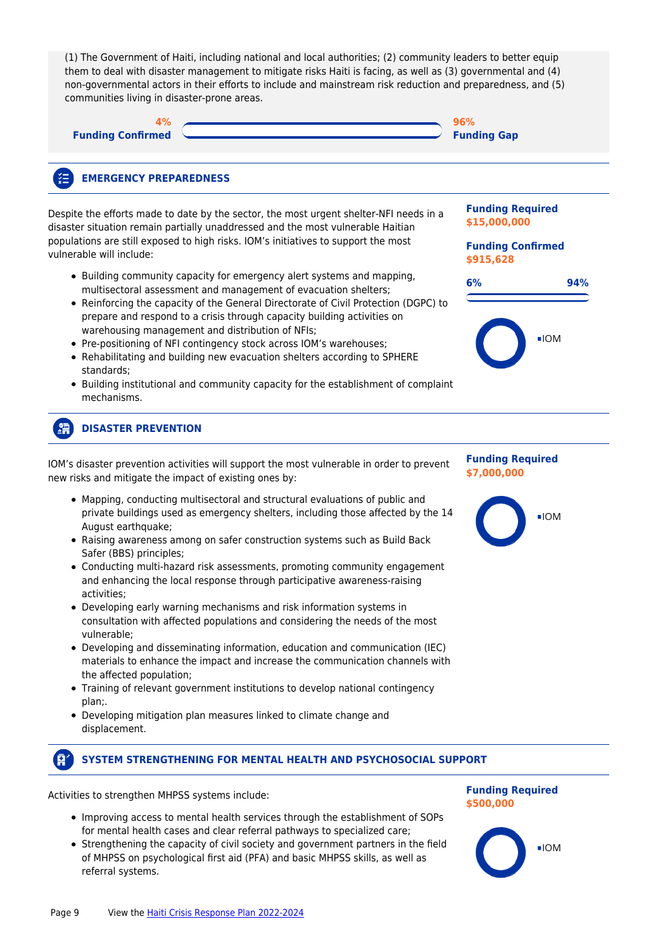| (1) The Government of Haiti, including national and local authorities; (2) community leaders to better equip<br>them to deal with disaster management to mitigate risks Haiti is facing, as well as (3) governmental and (4)<br>non-governmental actors in their efforts to include and mainstream risk reduction and preparedness, and (5)<br>communities living in disaster-prone areas.                                                                                                                                                        |                                                                                  |  |  |  |
|---------------------------------------------------------------------------------------------------------------------------------------------------------------------------------------------------------------------------------------------------------------------------------------------------------------------------------------------------------------------------------------------------------------------------------------------------------------------------------------------------------------------------------------------------|----------------------------------------------------------------------------------|--|--|--|
| <b>Funding Confirmed</b>                                                                                                                                                                                                                                                                                                                                                                                                                                                                                                                          | 96%<br><b>Funding Gap</b>                                                        |  |  |  |
| <b>EMERGENCY PREPAREDNESS</b>                                                                                                                                                                                                                                                                                                                                                                                                                                                                                                                     |                                                                                  |  |  |  |
| Despite the efforts made to date by the sector, the most urgent shelter-NFI needs in a<br>disaster situation remain partially unaddressed and the most vulnerable Haitian                                                                                                                                                                                                                                                                                                                                                                         | <b>Funding Required</b><br>\$15,000,000<br><b>Funding Confirmed</b><br>\$915,628 |  |  |  |
| populations are still exposed to high risks. IOM's initiatives to support the most<br>vulnerable will include:                                                                                                                                                                                                                                                                                                                                                                                                                                    |                                                                                  |  |  |  |
| • Building community capacity for emergency alert systems and mapping,<br>multisectoral assessment and management of evacuation shelters;<br>• Reinforcing the capacity of the General Directorate of Civil Protection (DGPC) to<br>prepare and respond to a crisis through capacity building activities on                                                                                                                                                                                                                                       | 6%<br>94%                                                                        |  |  |  |
| warehousing management and distribution of NFIs;<br>• Pre-positioning of NFI contingency stock across IOM's warehouses;<br>• Rehabilitating and building new evacuation shelters according to SPHERE<br>standards;<br>• Building institutional and community capacity for the establishment of complaint<br>mechanisms.                                                                                                                                                                                                                           | $\blacksquare$ IOM                                                               |  |  |  |
| <b>DISASTER PREVENTION</b>                                                                                                                                                                                                                                                                                                                                                                                                                                                                                                                        |                                                                                  |  |  |  |
| IOM's disaster prevention activities will support the most vulnerable in order to prevent<br>new risks and mitigate the impact of existing ones by:                                                                                                                                                                                                                                                                                                                                                                                               | <b>Funding Required</b><br>\$7,000,000                                           |  |  |  |
| • Mapping, conducting multisectoral and structural evaluations of public and<br>private buildings used as emergency shelters, including those affected by the 14<br>August earthquake;<br>• Raising awareness among on safer construction systems such as Build Back<br>Safer (BBS) principles;<br>• Conducting multi-hazard risk assessments, promoting community engagement<br>and enhancing the local response through participative awareness-raising<br>activities;<br>• Developing early warning mechanisms and risk information systems in | $\blacksquare$ IOM                                                               |  |  |  |
| consultation with affected populations and considering the needs of the most<br>vulnerable;<br>• Developing and disseminating information, education and communication (IEC)                                                                                                                                                                                                                                                                                                                                                                      |                                                                                  |  |  |  |
| materials to enhance the impact and increase the communication channels with<br>the affected population;                                                                                                                                                                                                                                                                                                                                                                                                                                          |                                                                                  |  |  |  |
| • Training of relevant government institutions to develop national contingency<br>plan;.<br>• Developing mitigation plan measures linked to climate change and<br>displacement.                                                                                                                                                                                                                                                                                                                                                                   |                                                                                  |  |  |  |

#### $\mathbf{F}$ **SYSTEM STRENGTHENING FOR MENTAL HEALTH AND PSYCHOSOCIAL SUPPORT**

Activities to strengthen MHPSS systems include:

L

L,

- Improving access to mental health services through the establishment of SOPs for mental health cases and clear referral pathways to specialized care;
- Strengthening the capacity of civil society and government partners in the field of MHPSS on psychological first aid (PFA) and basic MHPSS skills, as well as referral systems.



 $\blacksquare$ IOM